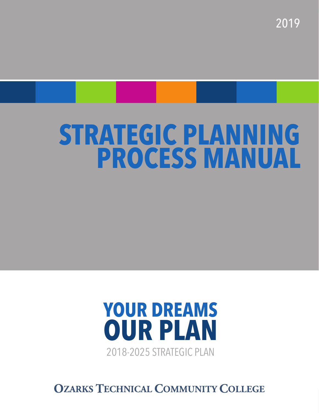2019

# **STRATEGIC PLANNING PROCESS MANUAL**



**OZARKS TECHNICAL COMMUNITY COLLEGE**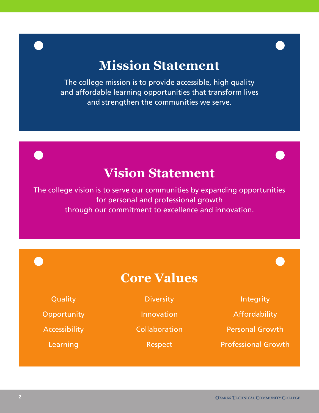# **Mission Statement**

The college mission is to provide accessible, high quality and affordable learning opportunities that transform lives and strengthen the communities we serve.

# **Vision Statement**

The college vision is to serve our communities by expanding opportunities for personal and professional growth through our commitment to excellence and innovation.

**Core Values**

**Quality** 

**Opportunity** 

Accessibility

Learning

**Diversity** 

Innovation

**Collaboration** 

Respect

Integrity

Affordability

Personal Growth

Professional Growth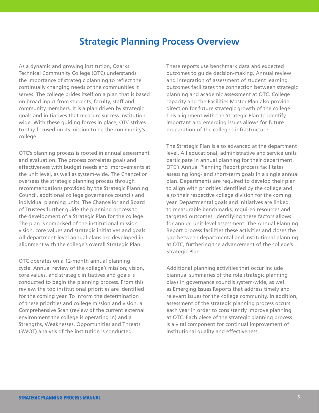# **Strategic Planning Process Overview**

As a dynamic and growing institution, Ozarks Technical Community College (OTC) understands the importance of strategic planning to reflect the continually changing needs of the communities it serves. The college prides itself on a plan that is based on broad input from students, faculty, staff and community members. It is a plan driven by strategic goals and initiatives that measure success institutionwide. With these guiding forces in place, OTC strives to stay focused on its mission to be the community's college.

OTC's planning process is rooted in annual assessment and evaluation. The process correlates goals and effectiveness with budget needs and improvements at the unit level, as well as system-wide. The Chancellor oversees the strategic planning process through recommendations provided by the Strategic Planning Council, additional college governance councils and individual planning units. The Chancellor and Board of Trustees further guide the planning process to the development of a Strategic Plan for the college. The plan is comprised of the institutional mission, vision, core values and strategic initiatives and goals. All department-level annual plans are developed in alignment with the college's overall Strategic Plan.

OTC operates on a 12-month annual planning cycle. Annual review of the college's mission, vision, core values, and strategic initiatives and goals is conducted to begin the planning process. From this review, the top institutional priorities are identified for the coming year. To inform the determination of these priorities and college mission and vision, a Comprehensive Scan (review of the current external environment the college is operating in) and a Strengths, Weaknesses, Opportunities and Threats (SWOT) analysis of the institution is conducted.

These reports use benchmark data and expected outcomes to guide decision-making. Annual review and integration of assessment of student learning outcomes facilitates the connection between strategic planning and academic assessment at OTC. College capacity and the Facilities Master Plan also provide direction for future strategic growth of the college. This alignment with the Strategic Plan to identify important and emerging issues allows for future preparation of the college's infrastructure.

The Strategic Plan is also advanced at the department level. All educational, administrative and service units participate in annual planning for their department. OTC's Annual Planning Report process facilitates assessing long- and short-term goals in a single annual plan. Departments are required to develop their plan to align with priorities identified by the college and also their respective college division for the coming year. Departmental goals and initiatives are linked to measurable benchmarks, required resources and targeted outcomes. Identifying these factors allows for annual unit-level assessment. The Annual Planning Report process facilities these activities and closes the gap between departmental and institutional planning at OTC, furthering the advancement of the college's Strategic Plan.

Additional planning activities that occur include biannual summaries of the role strategic planning plays in governance councils system-wide, as well as Emerging Issues Reports that address timely and relevant issues for the college community. In addition, assessment of the strategic planning process occurs each year in order to consistently improve planning at OTC. Each piece of the strategic planning process is a vital component for continual improvement of institutional quality and effectiveness.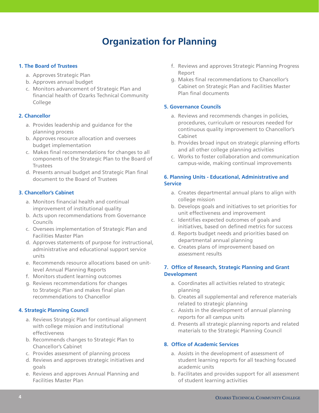# **Organization for Planning**

#### **1. The Board of Trustees**

- a. Approves Strategic Plan
- b. Approves annual budget
- c. Monitors advancement of Strategic Plan and financial health of Ozarks Technical Community College

#### **2. Chancellor**

- a. Provides leadership and guidance for the planning process
- b. Approves resource allocation and oversees budget implementation
- c. Makes final recommendations for changes to all components of the Strategic Plan to the Board of Trustees
- d. Presents annual budget and Strategic Plan final document to the Board of Trustees

#### **3. Chancellor's Cabinet**

- a. Monitors financial health and continual improvement of institutional quality
- b. Acts upon recommendations from Governance Councils
- c. Oversees implementation of Strategic Plan and Facilities Master Plan
- d. Approves statements of purpose for instructional, administrative and educational support service units
- e. Recommends resource allocations based on unitlevel Annual Planning Reports
- f. Monitors student learning outcomes
- g. Reviews recommendations for changes to Strategic Plan and makes final plan recommendations to Chancellor

#### **4. Strategic Planning Council**

- a. Reviews Strategic Plan for continual alignment with college mission and institutional effectiveness
- b. Recommends changes to Strategic Plan to Chancellor's Cabinet
- c. Provides assessment of planning process
- d. Reviews and approves strategic initiatives and goals
- e. Reviews and approves Annual Planning and Facilities Master Plan
- f. Reviews and approves Strategic Planning Progress Report
- g. Makes final recommendations to Chancellor's Cabinet on Strategic Plan and Facilities Master Plan final documents

#### **5. Governance Councils**

- a. Reviews and recommends changes in policies, procedures, curriculum or resources needed for continuous quality improvement to Chancellor's Cabinet
- b. Provides broad input on strategic planning efforts and all other college planning activities
- c. Works to foster collaboration and communication campus-wide, making continual improvements

#### **6. Planning Units - Educational, Administrative and Service**

- a. Creates departmental annual plans to align with college mission
- b. Develops goals and initiatives to set priorities for unit effectiveness and improvement
- c. Identifies expected outcomes of goals and initiatives, based on defined metrics for success
- d. Reports budget needs and priorities based on departmental annual planning
- e. Creates plans of improvement based on assessment results

#### **7. Office of Research, Strategic Planning and Grant Development**

- a. Coordinates all activities related to strategic planning
- b. Creates all supplemental and reference materials related to strategic planning
- c. Assists in the development of annual planning reports for all campus units
- d. Presents all strategic planning reports and related materials to the Strategic Planning Council

#### **8. Office of Academic Services**

- a. Assists in the development of assessment of student learning reports for all teaching focused academic units
- b. Facilitates and provides support for all assessment of student learning activities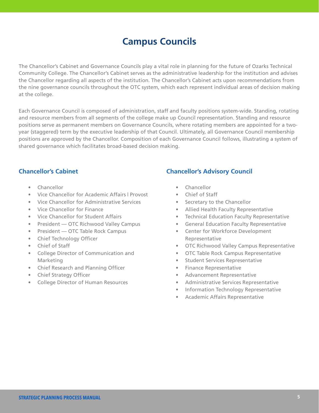# **Campus Councils**

The Chancellor's Cabinet and Governance Councils play a vital role in planning for the future of Ozarks Technical Community College. The Chancellor's Cabinet serves as the administrative leadership for the institution and advises the Chancellor regarding all aspects of the institution. The Chancellor's Cabinet acts upon recommendations from the nine governance councils throughout the OTC system, which each represent individual areas of decision making at the college.

Each Governance Council is composed of administration, staff and faculty positions system-wide. Standing, rotating and resource members from all segments of the college make up Council representation. Standing and resource positions serve as permanent members on Governance Councils, where rotating members are appointed for a twoyear (staggered) term by the executive leadership of that Council. Ultimately, all Governance Council membership positions are approved by the Chancellor. Composition of each Governance Council follows, illustrating a system of shared governance which facilitates broad-based decision making.

#### **Chancellor's Cabinet**

- Chancellor
- Vice Chancellor for Academic Affairs | Provost
- Vice Chancellor for Administrative Services
- Vice Chancellor for Finance
- Vice Chancellor for Student Affairs
- President OTC Richwood Valley Campus
- President OTC Table Rock Campus
- Chief Technology Officer
- Chief of Staff
- College Director of Communication and Marketing
- Chief Research and Planning Officer
- Chief Strategy Officer
- College Director of Human Resources

## **Chancellor's Advisory Council**

- Chancellor
- Chief of Staff
- Secretary to the Chancellor
- Allied Health Faculty Representative
- Technical Education Faculty Representative
- General Education Faculty Representative
- Center for Workforce Development Representative
- OTC Richwood Valley Campus Representative
- OTC Table Rock Campus Representative
- Student Services Representative
- Finance Representative
- Advancement Representative
- Administrative Services Representative
- Information Technology Representative
- Academic Affairs Representative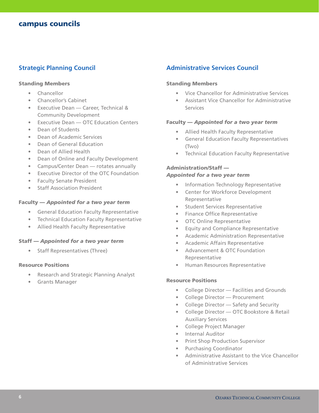#### **Strategic Planning Council**

#### Standing Members

- Chancellor
- Chancellor's Cabinet
- Executive Dean Career, Technical & Community Development
- Executive Dean OTC Education Centers
- Dean of Students
- Dean of Academic Services
- Dean of General Education
- Dean of Allied Health
- Dean of Online and Faculty Development
- Campus/Center Dean rotates annually
- Executive Director of the OTC Foundation
- Faculty Senate President
- Staff Association President

#### Faculty — *Appointed for a two year term*

- General Education Faculty Representative
- Technical Education Faculty Representative
- Allied Health Faculty Representative

#### Staff — *Appointed for a two year term*

• Staff Representatives (Three)

#### Resource Positions

- Research and Strategic Planning Analyst
- Grants Manager

#### **Administrative Services Council**

#### Standing Members

- Vice Chancellor for Administrative Services
- Assistant Vice Chancellor for Administrative Services

#### Faculty — *Appointed for a two year term*

- Allied Health Faculty Representative
- General Education Faculty Representatives (Two)
- Technical Education Faculty Representative

#### Administration/Staff —

#### *Appointed for a two year term*

- Information Technology Representative
- Center for Workforce Development Representative
- Student Services Representative
- Finance Office Representative
- OTC Online Representative
- Equity and Compliance Representative
- Academic Administration Representative
- Academic Affairs Representative
- Advancement & OTC Foundation Representative
- Human Resources Representative

#### Resource Positions

- College Director Facilities and Grounds
- College Director Procurement
- College Director Safety and Security
- College Director OTC Bookstore & Retail Auxiliary Services
- College Project Manager
- Internal Auditor
- Print Shop Production Supervisor
- Purchasing Coordinator
- Administrative Assistant to the Vice Chancellor of Administrative Services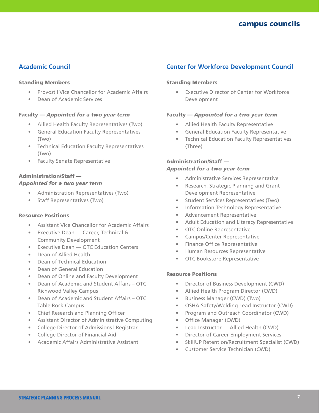## **Academic Council**

#### Standing Members

- Provost | Vice Chancellor for Academic Affairs
- Dean of Academic Services

#### Faculty — *Appointed for a two year term*

- Allied Health Faculty Representatives (Two)
- General Education Faculty Representatives (Two)
- Technical Education Faculty Representatives (Two)
- Faculty Senate Representative

#### Administration/Staff — *Appointed for a two year term*

- Administration Representatives (Two)
- Staff Representatives (Two)

#### Resource Positions

- Assistant Vice Chancellor for Academic Affairs
- Executive Dean Career, Technical & Community Development
- Executive Dean OTC Education Centers
- Dean of Allied Health
- Dean of Technical Education
- Dean of General Education
- Dean of Online and Faculty Development
- Dean of Academic and Student Affairs OTC Richwood Valley Campus
- Dean of Academic and Student Affairs OTC Table Rock Campus
- Chief Research and Planning Officer
- Assistant Director of Administrative Computing
- College Director of Admissions | Registrar
- College Director of Financial Aid
- Academic Affairs Administrative Assistant

#### **Center for Workforce Development Council**

#### Standing Members

Executive Director of Center for Workforce Development

#### Faculty — *Appointed for a two year term*

- Allied Health Faculty Representative
- General Education Faculty Representative
- Technical Education Faculty Representatives (Three)

#### Administration/Staff — *Appointed for a two year term*

- Administrative Services Representative
- Research, Strategic Planning and Grant Development Representative
- Student Services Representatives (Two)
- Information Technology Representative
- Advancement Representative
- Adult Education and Literacy Representative
- OTC Online Representative
- Campus/Center Representative
- Finance Office Representative
- Human Resources Representative
- OTC Bookstore Representative

#### Resource Positions

- Director of Business Development (CWD)
- Allied Health Program Director (CWD)
- Business Manager (CWD) (Two)
- OSHA-Safety/Welding Lead Instructor (CWD)
- Program and Outreach Coordinator (CWD)
- Office Manager (CWD)
- Lead Instructor Allied Health (CWD)
- Director of Career Employment Services
- SkillUP Retention/Recruitment Specialist (CWD)
- Customer Service Technician (CWD)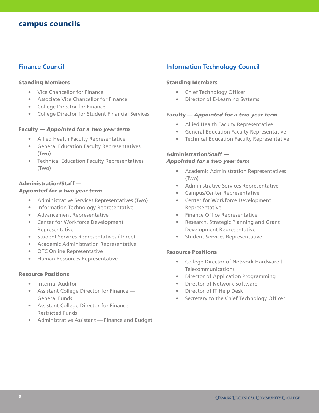#### **Finance Council**

#### Standing Members

- Vice Chancellor for Finance
- Associate Vice Chancellor for Finance
- College Director for Finance
- College Director for Student Financial Services

#### Faculty — *Appointed for a two year term*

- Allied Health Faculty Representative
- General Education Faculty Representatives (Two)
- Technical Education Faculty Representatives (Two)

#### Administration/Staff —

#### *Appointed for a two year term*

- Administrative Services Representatives (Two)
- Information Technology Representative
- Advancement Representative
- Center for Workforce Development Representative
- Student Services Representatives (Three)
- Academic Administration Representative
- OTC Online Representative
- Human Resources Representative

#### Resource Positions

- Internal Auditor
- Assistant College Director for Finance General Funds
- Assistant College Director for Finance Restricted Funds
- Administrative Assistant Finance and Budget

#### **Information Technology Council**

#### Standing Members

- Chief Technology Officer
- Director of E-Learning Systems

#### Faculty — *Appointed for a two year term*

- Allied Health Faculty Representative
- General Education Faculty Representative
- Technical Education Faculty Representative

#### Administration/Staff —

#### *Appointed for a two year term*

- Academic Administration Representatives (Two)
- Administrative Services Representative
- Campus/Center Representative
- Center for Workforce Development Representative
- Finance Office Representative
- Research, Strategic Planning and Grant Development Representative
- Student Services Representative

#### Resource Positions

- College Director of Network Hardware | Telecommunications
- Director of Application Programming
- Director of Network Software
- Director of IT Help Desk
- Secretary to the Chief Technology Officer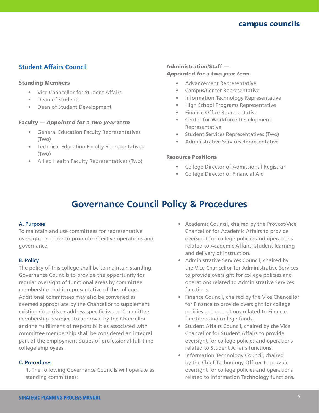### **Student Affairs Council**

#### Standing Members

- Vice Chancellor for Student Affairs
- Dean of Students
- Dean of Student Development

#### Faculty — *Appointed for a two year term*

- General Education Faculty Representatives (Two)
- Technical Education Faculty Representatives (Two)
- Allied Health Faculty Representatives (Two)

#### Administration/Staff — *Appointed for a two year term*

- Advancement Representative
- Campus/Center Representative
- Information Technology Representative
- High School Programs Representative
- Finance Office Representative
- Center for Workforce Development Representative
- Student Services Representatives (Two)
- Administrative Services Representative

#### Resource Positions

- College Director of Admissions | Registrar
- College Director of Financial Aid

# **Governance Council Policy & Procedures**

#### **A. Purpose**

To maintain and use committees for representative oversight, in order to promote effective operations and governance.

#### **B. Policy**

The policy of this college shall be to maintain standing Governance Councils to provide the opportunity for regular oversight of functional areas by committee membership that is representative of the college. Additional committees may also be convened as deemed appropriate by the Chancellor to supplement existing Councils or address specific issues. Committee membership is subject to approval by the Chancellor and the fulfillment of responsibilities associated with committee membership shall be considered an integral part of the employment duties of professional full-time college employees.

#### **C. Procedures**

1. The following Governance Councils will operate as standing committees:

- Academic Council, chaired by the Provost/Vice Chancellor for Academic Affairs to provide oversight for college policies and operations related to Academic Affairs, student learning and delivery of instruction.
- Administrative Services Council, chaired by the Vice Chancellor for Administrative Services to provide oversight for college policies and operations related to Administrative Services functions.
- Finance Council, chaired by the Vice Chancellor for Finance to provide oversight for college policies and operations related to Finance functions and college funds.
- Student Affairs Council, chaired by the Vice Chancellor for Student Affairs to provide oversight for college policies and operations related to Student Affairs functions.
- Information Technology Council, chaired by the Chief Technology Officer to provide oversight for college policies and operations related to Information Technology functions.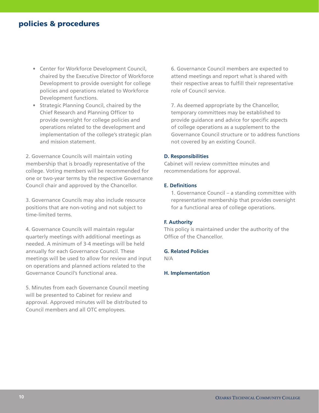## policies & procedures

- Center for Workforce Development Council, chaired by the Executive Director of Workforce Development to provide oversight for college policies and operations related to Workforce Development functions.
- Strategic Planning Council, chaired by the Chief Research and Planning Officer to provide oversight for college policies and operations related to the development and implementation of the college's strategic plan and mission statement.

2. Governance Councils will maintain voting membership that is broadly representative of the college. Voting members will be recommended for one or two-year terms by the respective Governance Council chair and approved by the Chancellor.

3. Governance Councils may also include resource positions that are non-voting and not subject to time-limited terms.

4. Governance Councils will maintain regular quarterly meetings with additional meetings as needed. A minimum of 3-4 meetings will be held annually for each Governance Council. These meetings will be used to allow for review and input on operations and planned actions related to the Governance Council's functional area.

5. Minutes from each Governance Council meeting will be presented to Cabinet for review and approval. Approved minutes will be distributed to Council members and all OTC employees.

6. Governance Council members are expected to attend meetings and report what is shared with their respective areas to fulfill their representative role of Council service.

7. As deemed appropriate by the Chancellor, temporary committees may be established to provide guidance and advice for specific aspects of college operations as a supplement to the Governance Council structure or to address functions not covered by an existing Council.

#### **D. Responsibilities**

Cabinet will review committee minutes and recommendations for approval.

#### **E. Definitions**

1. Governance Council – a standing committee with representative membership that provides oversight for a functional area of college operations.

#### **F. Authority**

This policy is maintained under the authority of the Office of the Chancellor.

#### **G. Related Policies**

N/A

#### **H. Implementation**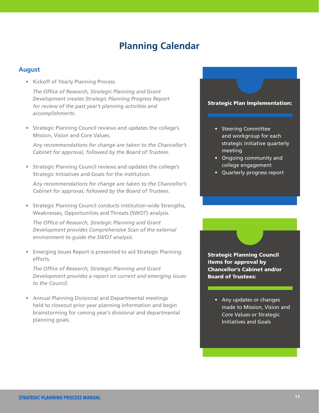# **Planning Calendar**

#### **August**

• Kickoff of Yearly Planning Process.

*The Office of Research, Strategic Planning and Grant Development creates Strategic Planning Progress Report for review of the past year's planning activities and accomplishments.*

• Strategic Planning Council reviews and updates the college's Mission, Vision and Core Values.

*Any recommendations for change are taken to the Chancellor's Cabinet for approval, followed by the Board of Trustees.*

• Strategic Planning Council reviews and updates the college's Strategic Initiatives and Goals for the institution.

*Any recommendations for change are taken to the Chancellor's Cabinet for approval, followed by the Board of Trustees.*

• Strategic Planning Council conducts institution-wide Strengths, Weaknesses, Opportunities and Threats (SWOT) analysis.

*The Office of Research, Strategic Planning and Grant Development provides Comprehensive Scan of the external environment to guide the SWOT analysis.*

• Emerging Issues Report is presented to aid Strategic Planning efforts.

*The Office of Research, Strategic Planning and Grant Development provides a report on current and emerging issues to the Council.*

• Annual Planning Divisional and Departmental meetings held to closeout prior year planning information and begin brainstorming for coming year's divisional and departmental planning goals.

#### Strategic Plan Implementation:

- Steering Committee and workgroup for each strategic initiative quarterly meeting
- Ongoing community and college engagement
- Quarterly progress report

Strategic Planning Council items for approval by Chancellor's Cabinet and/or Board of Trustees:

• Any updates or changes made to Mission, Vision and Core Values or Strategic Initiatives and Goals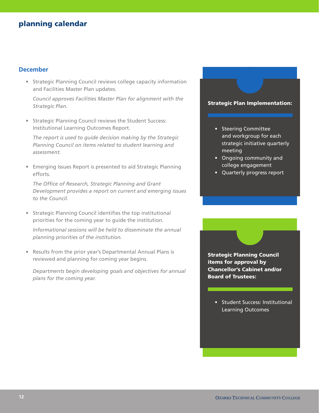#### **December**

• Strategic Planning Council reviews college capacity information and Facilities Master Plan updates.

*Council approves Facilities Master Plan for alignment with the Strategic Plan.*

• Strategic Planning Council reviews the Student Success: Institutional Learning Outcomes Report.

*The report is used to guide decision making by the Strategic Planning Council on items related to student learning and assessment.*

• Emerging Issues Report is presented to aid Strategic Planning efforts.

*The Office of Research, Strategic Planning and Grant Development provides a report on current and emerging issues to the Council.*

• Strategic Planning Council identifies the top institutional priorities for the coming year to guide the institution.

*Informational sessions will be held to disseminate the annual planning priorities of the institution.* 

• Results from the prior year's Departmental Annual Plans is reviewed and planning for coming year begins.

*Departments begin developing goals and objectives for annual plans for the coming year.*

#### Strategic Plan Implementation:

- Steering Committee and workgroup for each strategic initiative quarterly meeting
- Ongoing community and college engagement
- Quarterly progress report

Strategic Planning Council items for approval by Chancellor's Cabinet and/or Board of Trustees:

• Student Success: Institutional Learning Outcomes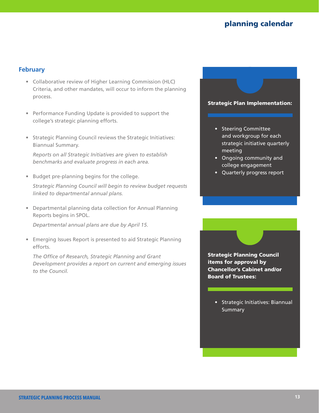#### **February**

- Collaborative review of Higher Learning Commission (HLC) Criteria, and other mandates, will occur to inform the planning process.
- Performance Funding Update is provided to support the college's strategic planning efforts.
- Strategic Planning Council reviews the Strategic Initiatives: Biannual Summary.

*Reports on all Strategic Initiatives are given to establish benchmarks and evaluate progress in each area.*

• Budget pre-planning begins for the college.

*Strategic Planning Council will begin to review budget requests linked to departmental annual plans.*

• Departmental planning data collection for Annual Planning Reports begins in SPOL.

*Departmental annual plans are due by April 15.* 

• Emerging Issues Report is presented to aid Strategic Planning efforts.

*The Office of Research, Strategic Planning and Grant Development provides a report on current and emerging issues to the Council.*

#### Strategic Plan Implementation:

- Steering Committee and workgroup for each strategic initiative quarterly meeting
- Ongoing community and college engagement
- Quarterly progress report

Strategic Planning Council items for approval by Chancellor's Cabinet and/or Board of Trustees:

• Strategic Initiatives: Biannual **Summary**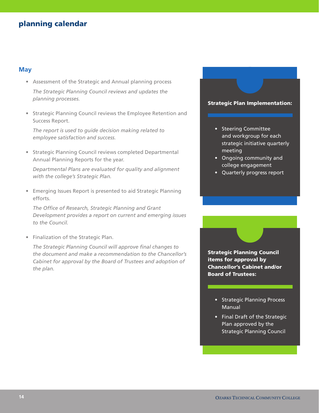#### **May**

- Assessment of the Strategic and Annual planning process *The Strategic Planning Council reviews and updates the planning processes.*
- Strategic Planning Council reviews the Employee Retention and Success Report.

*The report is used to guide decision making related to employee satisfaction and success.*

• Strategic Planning Council reviews completed Departmental Annual Planning Reports for the year.

*Departmental Plans are evaluated for quality and alignment with the college's Strategic Plan.* 

• Emerging Issues Report is presented to aid Strategic Planning efforts.

*The Office of Research, Strategic Planning and Grant Development provides a report on current and emerging issues to the Council.*

• Finalization of the Strategic Plan.

*The Strategic Planning Council will approve final changes to the document and make a recommendation to the Chancellor's Cabinet for approval by the Board of Trustees and adoption of the plan.*

#### Strategic Plan Implementation:

- Steering Committee and workgroup for each strategic initiative quarterly meeting
- Ongoing community and college engagement
- Quarterly progress report

Strategic Planning Council items for approval by Chancellor's Cabinet and/or Board of Trustees:

- Strategic Planning Process Manual
- Final Draft of the Strategic Plan approved by the Strategic Planning Council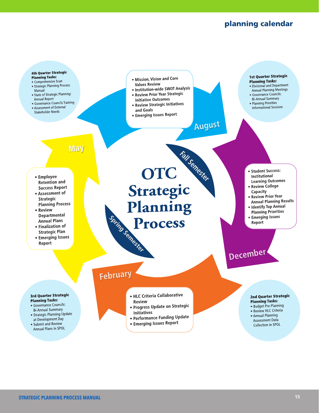